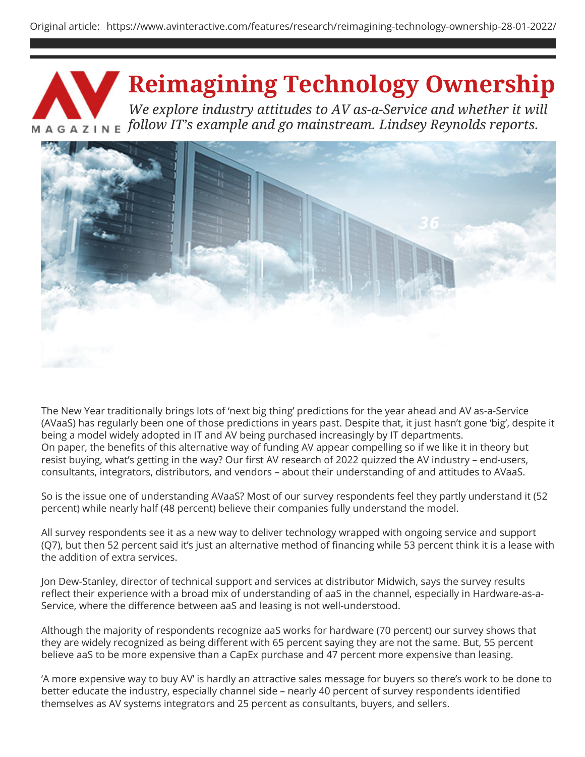# **Reimagining Technology Ownership**

*We explore industry attitudes to AV as-a-Service and whether it will 21 follow IT's example and go mainstream. Lindsey Reynolds reports.*



The New Year traditionally brings lots of 'next big thing' predictions for the year ahead and AV as-a-Service (AVaaS) has regularly been one of those predictions in years past. Despite that, it just hasn't gone 'big', despite it being a model widely adopted in IT and AV being purchased increasingly by IT departments. On paper, the benefits of this alternative way of funding AV appear compelling so if we like it in theory but resist buying, what's getting in the way? Our first AV research of 2022 quizzed the AV industry – end-users, consultants, integrators, distributors, and vendors – about their understanding of and attitudes to AVaaS.

So is the issue one of understanding AVaaS? Most of our survey respondents feel they partly understand it (52 percent) while nearly half (48 percent) believe their companies fully understand the model.

All survey respondents see it as a new way to deliver technology wrapped with ongoing service and support (Q7), but then 52 percent said it's just an alternative method of financing while 53 percent think it is a lease with the addition of extra services.

Jon Dew-Stanley, director of technical support and services at distributor Midwich, says the survey results reflect their experience with a broad mix of understanding of aaS in the channel, especially in Hardware-as-a-Service, where the difference between aaS and leasing is not well-understood.

Although the majority of respondents recognize aaS works for hardware (70 percent) our survey shows that they are widely recognized as being different with 65 percent saying they are not the same. But, 55 percent believe aaS to be more expensive than a CapEx purchase and 47 percent more expensive than leasing.

'A more expensive way to buy AV' is hardly an attractive sales message for buyers so there's work to be done to better educate the industry, especially channel side – nearly 40 percent of survey respondents identified themselves as AV systems integrators and 25 percent as consultants, buyers, and sellers.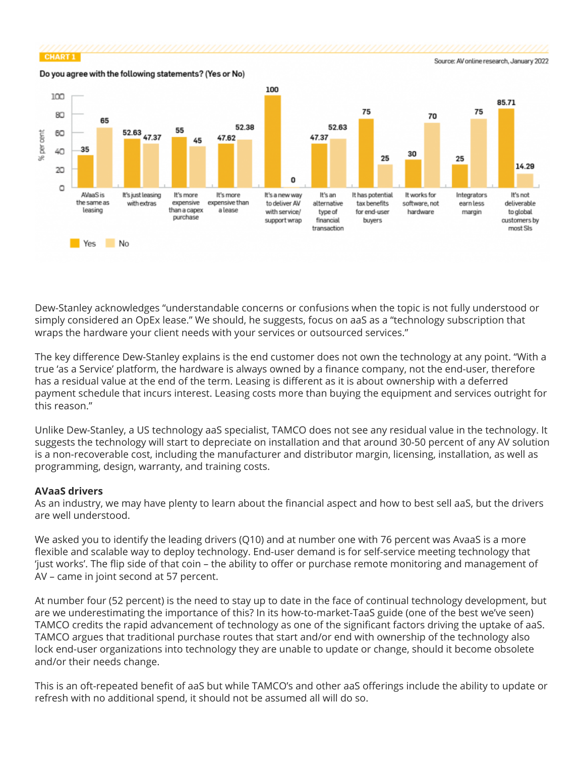

Dew-Stanley acknowledges "understandable concerns or confusions when the topic is not fully understood or simply considered an OpEx lease." We should, he suggests, focus on aaS as a "technology subscription that wraps the hardware your client needs with your services or outsourced services."

The key difference Dew-Stanley explains is the end customer does not own the technology at any point. "With a true 'as a Service' platform, the hardware is always owned by a finance company, not the end-user, therefore has a residual value at the end of the term. Leasing is different as it is about ownership with a deferred payment schedule that incurs interest. Leasing costs more than buying the equipment and services outright for this reason."

Unlike Dew-Stanley, a US technology aaS specialist, TAMCO does not see any residual value in the technology. It suggests the technology will start to depreciate on installation and that around 30-50 percent of any AV solution is a non-recoverable cost, including the manufacturer and distributor margin, licensing, installation, as well as programming, design, warranty, and training costs.

## **AVaaS drivers**

As an industry, we may have plenty to learn about the financial aspect and how to best sell aaS, but the drivers are well understood.

We asked you to identify the leading drivers (Q10) and at number one with 76 percent was AvaaS is a more flexible and scalable way to deploy technology. End-user demand is for self-service meeting technology that 'just works'. The flip side of that coin – the ability to offer or purchase remote monitoring and management of AV – came in joint second at 57 percent.

At number four (52 percent) is the need to stay up to date in the face of continual technology development, but are we underestimating the importance of this? In its how-to-market-TaaS guide (one of the best we've seen) TAMCO credits the rapid advancement of technology as one of the significant factors driving the uptake of aaS. TAMCO argues that traditional purchase routes that start and/or end with ownership of the technology also lock end-user organizations into technology they are unable to update or change, should it become obsolete and/or their needs change.

This is an oft-repeated benefit of aaS but while TAMCO's and other aaS offerings include the ability to update or refresh with no additional spend, it should not be assumed all will do so.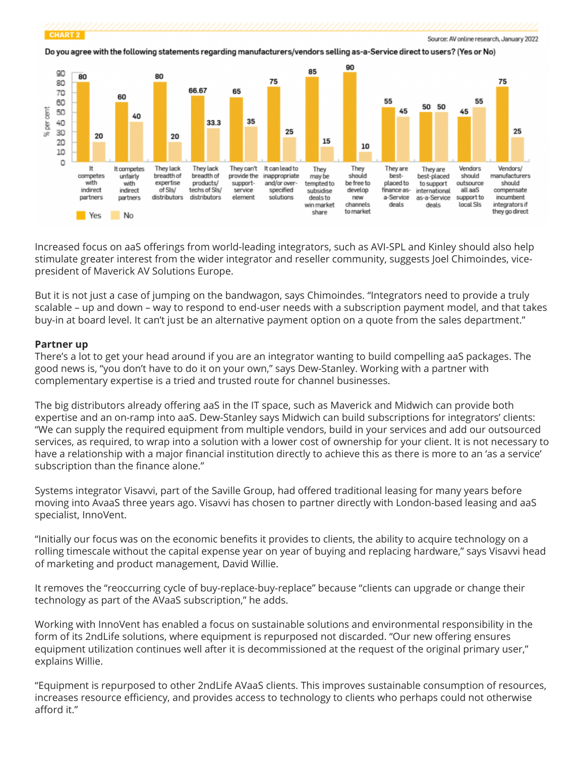

Do you agree with the following statements regarding manufacturers/vendors selling as-a-Service direct to users? (Yes or No)



Increased focus on aaS offerings from world-leading integrators, such as AVI-SPL and Kinley should also help stimulate greater interest from the wider integrator and reseller community, suggests Joel Chimoindes, vicepresident of Maverick AV Solutions Europe.

But it is not just a case of jumping on the bandwagon, says Chimoindes. "Integrators need to provide a truly scalable – up and down – way to respond to end-user needs with a subscription payment model, and that takes buy-in at board level. It can't just be an alternative payment option on a quote from the sales department."

#### **Partner up**

There's a lot to get your head around if you are an integrator wanting to build compelling aaS packages. The good news is, "you don't have to do it on your own," says Dew-Stanley. Working with a partner with complementary expertise is a tried and trusted route for channel businesses.

The big distributors already offering aaS in the IT space, such as Maverick and Midwich can provide both expertise and an on-ramp into aaS. Dew-Stanley says Midwich can build subscriptions for integrators' clients: "We can supply the required equipment from multiple vendors, build in your services and add our outsourced services, as required, to wrap into a solution with a lower cost of ownership for your client. It is not necessary to have a relationship with a major financial institution directly to achieve this as there is more to an 'as a service' subscription than the finance alone."

Systems integrator Visavvi, part of the Saville Group, had offered traditional leasing for many years before moving into AvaaS three years ago. Visavvi has chosen to partner directly with London-based leasing and aaS specialist, InnoVent.

"Initially our focus was on the economic benefits it provides to clients, the ability to acquire technology on a rolling timescale without the capital expense year on year of buying and replacing hardware," says Visavvi head of marketing and product management, David Willie.

It removes the "reoccurring cycle of buy-replace-buy-replace" because "clients can upgrade or change their technology as part of the AVaaS subscription," he adds.

Working with InnoVent has enabled a focus on sustainable solutions and environmental responsibility in the form of its 2ndLife solutions, where equipment is repurposed not discarded. "Our new offering ensures equipment utilization continues well after it is decommissioned at the request of the original primary user," explains Willie.

"Equipment is repurposed to other 2ndLife AVaaS clients. This improves sustainable consumption of resources, increases resource efficiency, and provides access to technology to clients who perhaps could not otherwise afford it."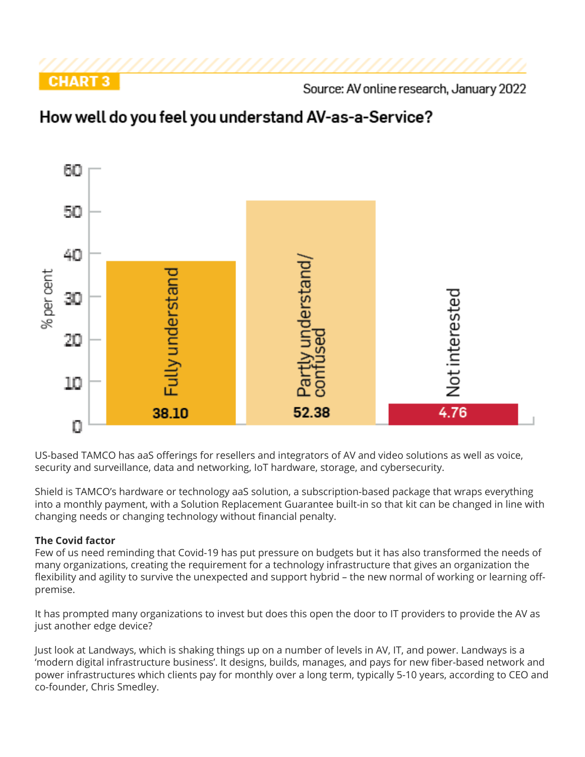

Source: AV online research, January 2022

# How well do you feel you understand AV-as-a-Service?



US-based TAMCO has aaS offerings for resellers and integrators of AV and video solutions as well as voice, security and surveillance, data and networking, IoT hardware, storage, and cybersecurity.

Shield is TAMCO's hardware or technology aaS solution, a subscription-based package that wraps everything into a monthly payment, with a Solution Replacement Guarantee built-in so that kit can be changed in line with changing needs or changing technology without financial penalty.

## **The Covid factor**

Few of us need reminding that Covid-19 has put pressure on budgets but it has also transformed the needs of many organizations, creating the requirement for a technology infrastructure that gives an organization the flexibility and agility to survive the unexpected and support hybrid – the new normal of working or learning offpremise.

It has prompted many organizations to invest but does this open the door to IT providers to provide the AV as just another edge device?

Just look at Landways, which is shaking things up on a number of levels in AV, IT, and power. Landways is a 'modern digital infrastructure business'. It designs, builds, manages, and pays for new fiber-based network and power infrastructures which clients pay for monthly over a long term, typically 5-10 years, according to CEO and co-founder, Chris Smedley.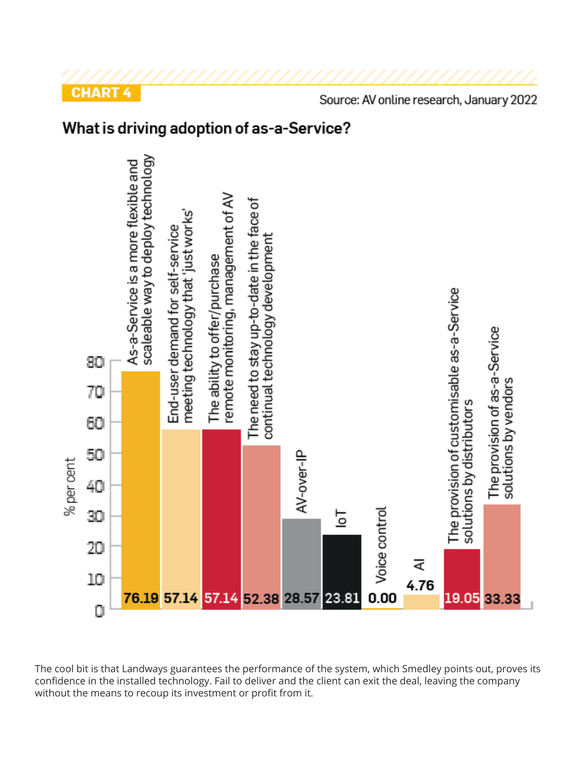





The cool bit is that Landways guarantees the performance of the system, which Smedley points out, proves its confidence in the installed technology. Fail to deliver and the client can exit the deal, leaving the company without the means to recoup its investment or profit from it.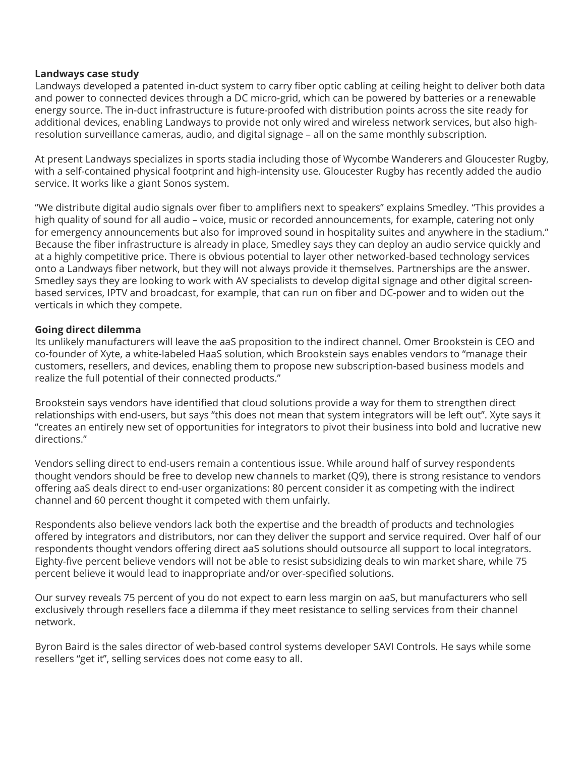#### **Landways case study**

Landways developed a patented in-duct system to carry fiber optic cabling at ceiling height to deliver both data and power to connected devices through a DC micro-grid, which can be powered by batteries or a renewable energy source. The in-duct infrastructure is future-proofed with distribution points across the site ready for additional devices, enabling Landways to provide not only wired and wireless network services, but also highresolution surveillance cameras, audio, and digital signage – all on the same monthly subscription.

At present Landways specializes in sports stadia including those of Wycombe Wanderers and Gloucester Rugby, with a self-contained physical footprint and high-intensity use. Gloucester Rugby has recently added the audio service. It works like a giant Sonos system.

"We distribute digital audio signals over fiber to amplifiers next to speakers" explains Smedley. "This provides a high quality of sound for all audio – voice, music or recorded announcements, for example, catering not only for emergency announcements but also for improved sound in hospitality suites and anywhere in the stadium." Because the fiber infrastructure is already in place, Smedley says they can deploy an audio service quickly and at a highly competitive price. There is obvious potential to layer other networked-based technology services onto a Landways fiber network, but they will not always provide it themselves. Partnerships are the answer. Smedley says they are looking to work with AV specialists to develop digital signage and other digital screenbased services, IPTV and broadcast, for example, that can run on fiber and DC-power and to widen out the verticals in which they compete.

#### **Going direct dilemma**

Its unlikely manufacturers will leave the aaS proposition to the indirect channel. Omer Brookstein is CEO and co-founder of Xyte, a white-labeled HaaS solution, which Brookstein says enables vendors to "manage their customers, resellers, and devices, enabling them to propose new subscription-based business models and realize the full potential of their connected products."

Brookstein says vendors have identified that cloud solutions provide a way for them to strengthen direct relationships with end-users, but says "this does not mean that system integrators will be left out". Xyte says it "creates an entirely new set of opportunities for integrators to pivot their business into bold and lucrative new directions."

Vendors selling direct to end-users remain a contentious issue. While around half of survey respondents thought vendors should be free to develop new channels to market (Q9), there is strong resistance to vendors offering aaS deals direct to end-user organizations: 80 percent consider it as competing with the indirect channel and 60 percent thought it competed with them unfairly.

Respondents also believe vendors lack both the expertise and the breadth of products and technologies offered by integrators and distributors, nor can they deliver the support and service required. Over half of our respondents thought vendors offering direct aaS solutions should outsource all support to local integrators. Eighty-five percent believe vendors will not be able to resist subsidizing deals to win market share, while 75 percent believe it would lead to inappropriate and/or over-specified solutions.

Our survey reveals 75 percent of you do not expect to earn less margin on aaS, but manufacturers who sell exclusively through resellers face a dilemma if they meet resistance to selling services from their channel network.

Byron Baird is the sales director of web-based control systems developer SAVI Controls. He says while some resellers "get it", selling services does not come easy to all.